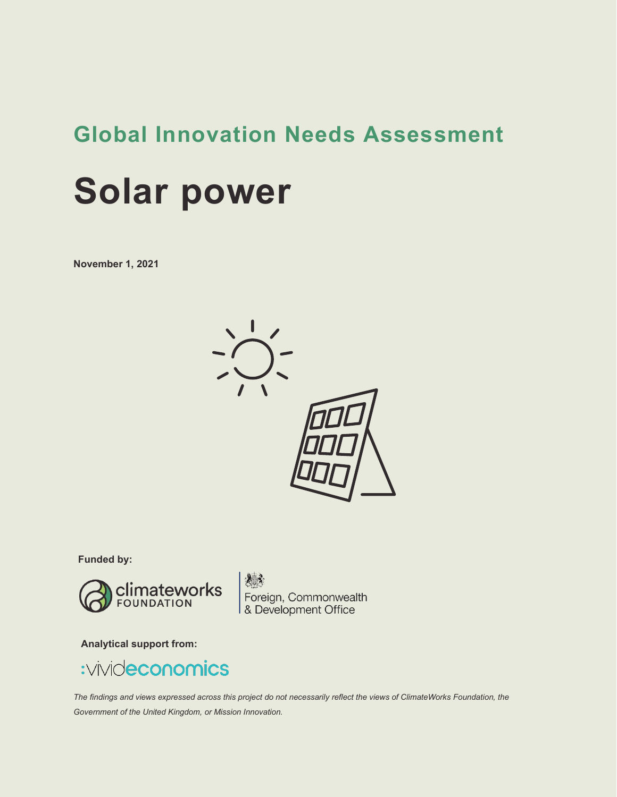## **Global Innovation Needs Assessment**

# **Solar power**

**November 1, 2021**



**Funded by:**



**1883**<br>Foreign, Commonwealth<br>8. Development Office

**Analytical support from:**

## :vivideconomics

*The findings and views expressed across this project do not necessarily reflect the views of ClimateWorks Foundation, the Government of the United Kingdom, or Mission Innovation.*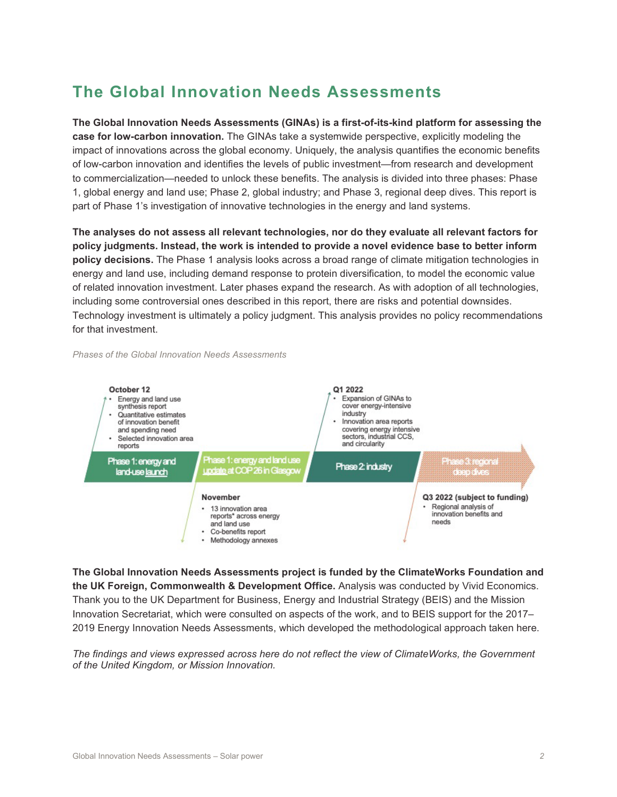## **The Global Innovation Needs Assessments**

**The Global Innovation Needs Assessments (GINAs) is a first-of-its-kind platform for assessing the case for low-carbon innovation.** The GINAs take a systemwide perspective, explicitly modeling the impact of innovations across the global economy. Uniquely, the analysis quantifies the economic benefits of low-carbon innovation and identifies the levels of public investment—from research and development to commercialization—needed to unlock these benefits. The analysis is divided into three phases: Phase 1, global energy and land use; Phase 2, global industry; and Phase 3, regional deep dives. This report is part of Phase 1's investigation of innovative technologies in the energy and land systems.

**The analyses do not assess all relevant technologies, nor do they evaluate all relevant factors for policy judgments. Instead, the work is intended to provide a novel evidence base to better inform policy decisions.** The Phase 1 analysis looks across a broad range of climate mitigation technologies in energy and land use, including demand response to protein diversification, to model the economic value of related innovation investment. Later phases expand the research. As with adoption of all technologies, including some controversial ones described in this report, there are risks and potential downsides. Technology investment is ultimately a policy judgment. This analysis provides no policy recommendations for that investment.

*Phases of the Global Innovation Needs Assessments* 



**The Global Innovation Needs Assessments project is funded by the ClimateWorks Foundation and the UK Foreign, Commonwealth & Development Office.** Analysis was conducted by Vivid Economics. Thank you to the UK Department for Business, Energy and Industrial Strategy (BEIS) and the Mission Innovation Secretariat, which were consulted on aspects of the work, and to BEIS support for the 2017– 2019 Energy Innovation Needs Assessments, which developed the methodological approach taken here.

*The findings and views expressed across here do not reflect the view of ClimateWorks, the Government of the United Kingdom, or Mission Innovation.*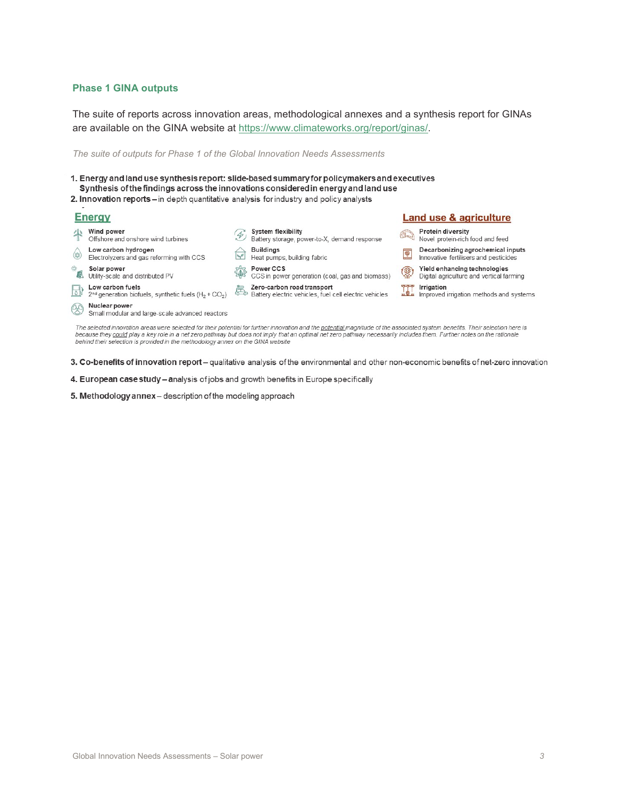#### **Phase 1 GINA outputs**

The suite of reports across innovation areas, methodological annexes and a synthesis report for GINAs are available on the GINA website at [https://www.climateworks.org/report/ginas/.](https://www.climateworks.org/report/ginas/)

*The suite of outputs for Phase 1 of the Global Innovation Needs Assessments* 

1. Energy and land use synthesis report: slide-based summary for policymakers and executives Synthesis of the findings across the innovations considered in energy and land use

2. Innovation reports - in depth quantitative analysis for industry and policy analysts

#### **Energy Land use & agriculture** Wind power **System flexibility** Protein diversity Protein diversity<br>Novel protein-rich food and feed System flexibility<br>Battery storage, power-to-X, demand response Offshore and onshore wind turbines  $\begin{tabular}{ll} \textbf{\textsf{Low carbon hydrogen}}\\ \textbf{\textsf{Electrolyzers and gas reforming with CCS}}\\ \end{tabular}$ **Buildings** Decarbonizing agrochemical inputs  $\boxed{\circledast}$ Heat pumps, building fabric Innovative fertilisers and pesticides Power CCS<br>CCS in power generation (coal, gas and biomass) Solar power<br>**6** Utility-scale and distributed PV Yield enhancing technologies (இ) Digital agriculture and vertical farming **Now carbon fuels**<br>  $\boxed{\triangle}$  **D**  $2^{nd}$  generation biofuels, synthetic fuels (H<sub>2</sub> + CO<sub>2</sub>) **Example:** Zero-carbon road transport<br>
Battery electric vehicles, fuel cell electric vehicles Irrigation **The Irrigation**<br>**WELL** Improved irrigation methods and systems Nuclear power Small modular and large-scale advanced reactors

because they could play a key role in a net zero pathway but does not imply that an optimal net zero pathway necessarily includes them. Further notes on the rationale behind their selection is provided in the methodology annex on the GINA website

- 4. European case study analysis of jobs and growth benefits in Europe specifically
- 5. Methodology annex-description of the modeling approach

## The selected innovation areas were selected for their potential for further innovation and the potential magnitude of the associated system benefits. Their selection here is

3. Co-benefits of innovation report - qualitative analysis of the environmental and other non-economic benefits of net-zero innovation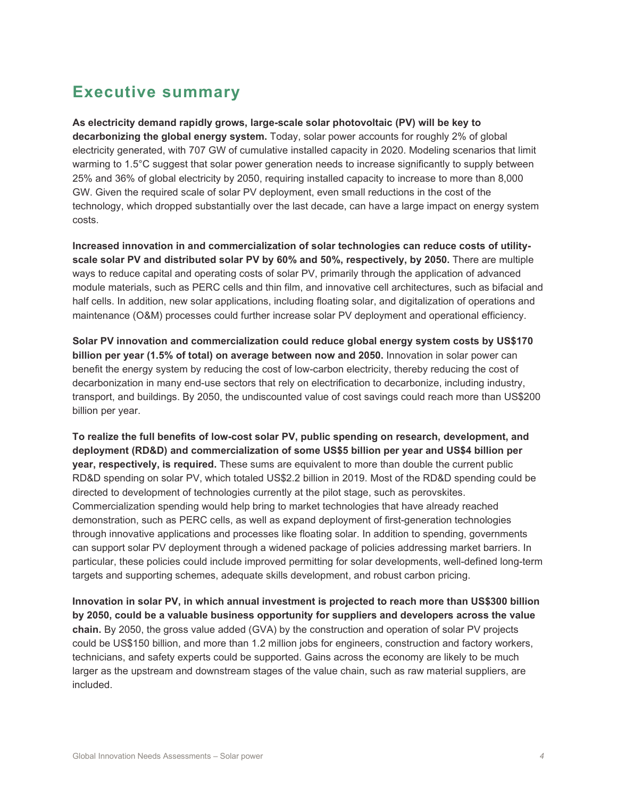### **Executive summary**

**As electricity demand rapidly grows, large-scale solar photovoltaic (PV) will be key to decarbonizing the global energy system.** Today, solar power accounts for roughly 2% of global electricity generated, with 707 GW of cumulative installed capacity in 2020. Modeling scenarios that limit warming to 1.5°C suggest that solar power generation needs to increase significantly to supply between 25% and 36% of global electricity by 2050, requiring installed capacity to increase to more than 8,000 GW. Given the required scale of solar PV deployment, even small reductions in the cost of the technology, which dropped substantially over the last decade, can have a large impact on energy system costs.

**Increased innovation in and commercialization of solar technologies can reduce costs of utilityscale solar PV and distributed solar PV by 60% and 50%, respectively, by 2050.** There are multiple ways to reduce capital and operating costs of solar PV, primarily through the application of advanced module materials, such as PERC cells and thin film, and innovative cell architectures, such as bifacial and half cells. In addition, new solar applications, including floating solar, and digitalization of operations and maintenance (O&M) processes could further increase solar PV deployment and operational efficiency.

**Solar PV innovation and commercialization could reduce global energy system costs by US\$170 billion per year (1.5% of total) on average between now and 2050.** Innovation in solar power can benefit the energy system by reducing the cost of low-carbon electricity, thereby reducing the cost of decarbonization in many end-use sectors that rely on electrification to decarbonize, including industry, transport, and buildings. By 2050, the undiscounted value of cost savings could reach more than US\$200 billion per year.

**To realize the full benefits of low-cost solar PV, public spending on research, development, and deployment (RD&D) and commercialization of some US\$5 billion per year and US\$4 billion per year, respectively, is required.** These sums are equivalent to more than double the current public RD&D spending on solar PV, which totaled US\$2.2 billion in 2019. Most of the RD&D spending could be directed to development of technologies currently at the pilot stage, such as perovskites. Commercialization spending would help bring to market technologies that have already reached demonstration, such as PERC cells, as well as expand deployment of first-generation technologies through innovative applications and processes like floating solar. In addition to spending, governments can support solar PV deployment through a widened package of policies addressing market barriers. In particular, these policies could include improved permitting for solar developments, well-defined long-term targets and supporting schemes, adequate skills development, and robust carbon pricing.

**Innovation in solar PV, in which annual investment is projected to reach more than US\$300 billion by 2050, could be a valuable business opportunity for suppliers and developers across the value chain.** By 2050, the gross value added (GVA) by the construction and operation of solar PV projects could be US\$150 billion, and more than 1.2 million jobs for engineers, construction and factory workers, technicians, and safety experts could be supported. Gains across the economy are likely to be much larger as the upstream and downstream stages of the value chain, such as raw material suppliers, are included.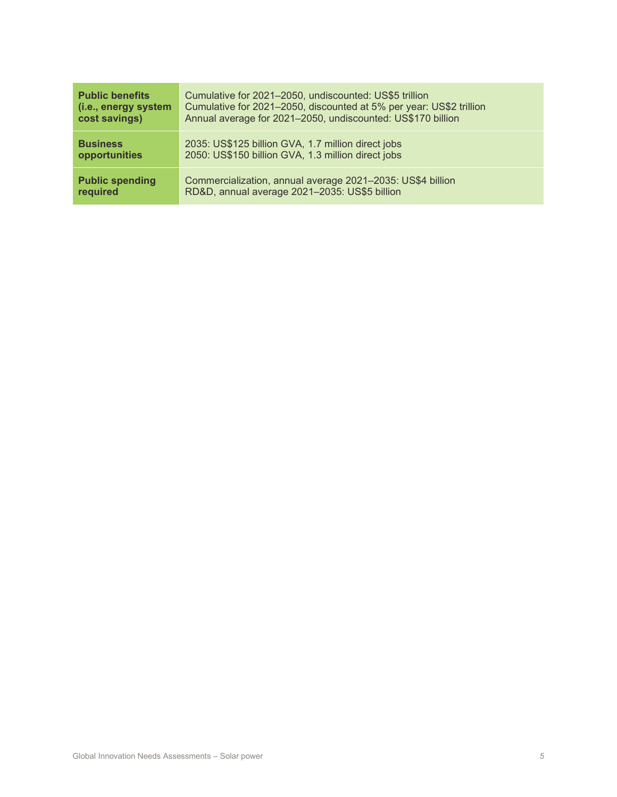| <b>Public benefits</b> | Cumulative for 2021-2050, undiscounted: US\$5 trillion              |  |
|------------------------|---------------------------------------------------------------------|--|
| (i.e., energy system   | Cumulative for 2021-2050, discounted at 5% per year: US\$2 trillion |  |
| cost savings)          | Annual average for 2021-2050, undiscounted: US\$170 billion         |  |
| <b>Business</b>        | 2035: US\$125 billion GVA, 1.7 million direct jobs                  |  |
| opportunities          | 2050: US\$150 billion GVA, 1.3 million direct jobs                  |  |
| <b>Public spending</b> | Commercialization, annual average 2021-2035: US\$4 billion          |  |
| required               | RD&D, annual average 2021-2035: US\$5 billion                       |  |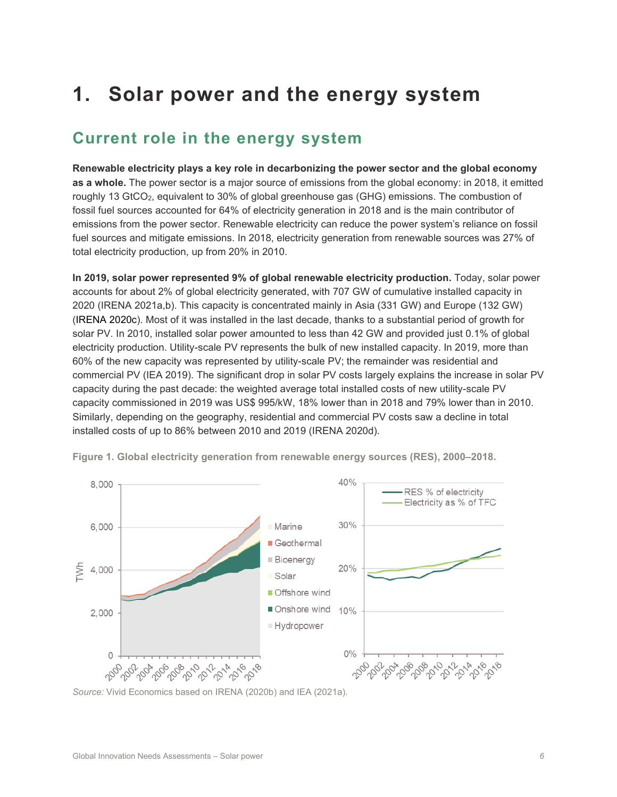## **1. Solar power and the energy system**

### **Current role in the energy system**

**Renewable electricity plays a key role in decarbonizing the power sector and the global economy as a whole.** The power sector is a major source of emissions from the global economy: in 2018, it emitted roughly 13 GtCO<sub>2</sub>, equivalent to 30% of global greenhouse gas (GHG) emissions. The combustion of fossil fuel sources accounted for 64% of electricity generation in 2018 and is the main contributor of emissions from the power sector. Renewable electricity can reduce the power system's reliance on fossil fuel sources and mitigate emissions. In 2018, electricity generation from renewable sources was 27% of total electricity production, up from 20% in 2010.

**In 2019, solar power represented 9% of global renewable electricity production.** Today, solar power accounts for about 2% of global electricity generated, with 707 GW of cumulative installed capacity in 2020 (IRENA 2021a,b). This capacity is concentrated mainly in Asia (331 GW) and Europe (132 GW) (IRENA 2020c). Most of it was installed in the last decade, thanks to a substantial period of growth for solar PV. In 2010, installed solar power amounted to less than 42 GW and provided just 0.1% of global electricity production. Utility-scale PV represents the bulk of new installed capacity. In 2019, more than 60% of the new capacity was represented by utility-scale PV; the remainder was residential and commercial PV (IEA 2019). The significant drop in solar PV costs largely explains the increase in solar PV capacity during the past decade: the weighted average total installed costs of new utility-scale PV capacity commissioned in 2019 was US\$ 995/kW, 18% lower than in 2018 and 79% lower than in 2010. Similarly, depending on the geography, residential and commercial PV costs saw a decline in total installed costs of up to 86% between 2010 and 2019 (IRENA 2020d).



**Figure 1. Global electricity generation from renewable energy sources (RES), 2000–2018.**

*Source:* Vivid Economics based on IRENA (2020b) and IEA (2021a).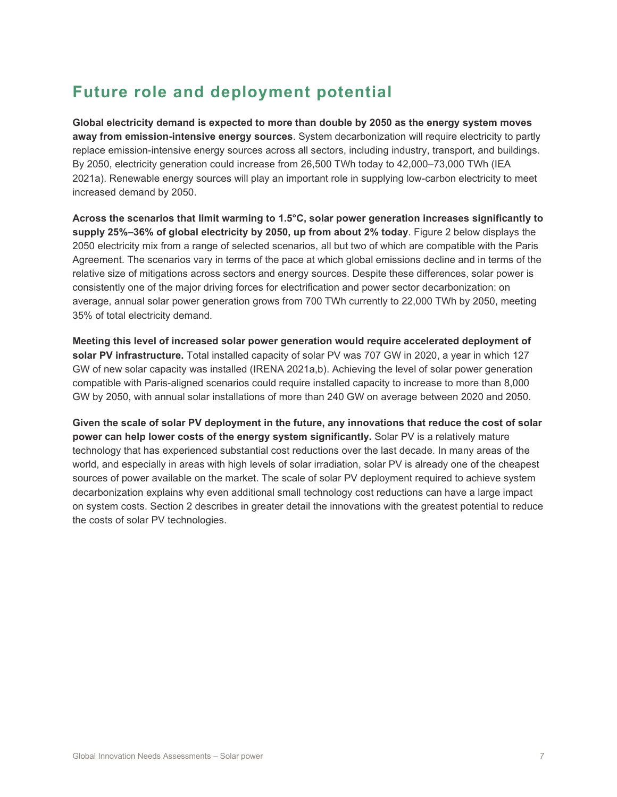## **Future role and deployment potential**

**Global electricity demand is expected to more than double by 2050 as the energy system moves away from emission-intensive energy sources**. System decarbonization will require electricity to partly replace emission-intensive energy sources across all sectors, including industry, transport, and buildings. By 2050, electricity generation could increase from 26,500 TWh today to 42,000–73,000 TWh (IEA 2021a). Renewable energy sources will play an important role in supplying low-carbon electricity to meet increased demand by 2050.

**Across the scenarios that limit warming to 1.5°C, solar power generation increases significantly to supply 25%–36% of global electricity by 2050, up from about 2% today**. [Figure 2](#page-7-0) below displays the 2050 electricity mix from a range of selected scenarios, all but two of which are compatible with the Paris Agreement. The scenarios vary in terms of the pace at which global emissions decline and in terms of the relative size of mitigations across sectors and energy sources. Despite these differences, solar power is consistently one of the major driving forces for electrification and power sector decarbonization: on average, annual solar power generation grows from 700 TWh currently to 22,000 TWh by 2050, meeting 35% of total electricity demand.

**Meeting this level of increased solar power generation would require accelerated deployment of solar PV infrastructure.** Total installed capacity of solar PV was 707 GW in 2020, a year in which 127 GW of new solar capacity was installed (IRENA 2021a,b). Achieving the level of solar power generation compatible with Paris-aligned scenarios could require installed capacity to increase to more than 8,000 GW by 2050, with annual solar installations of more than 240 GW on average between 2020 and 2050.

**Given the scale of solar PV deployment in the future, any innovations that reduce the cost of solar power can help lower costs of the energy system significantly.** Solar PV is a relatively mature technology that has experienced substantial cost reductions over the last decade. In many areas of the world, and especially in areas with high levels of solar irradiation, solar PV is already one of the cheapest sources of power available on the market. The scale of solar PV deployment required to achieve system decarbonization explains why even additional small technology cost reductions can have a large impact on system costs. Section 2 describes in greater detail the innovations with the greatest potential to reduce the costs of solar PV technologies.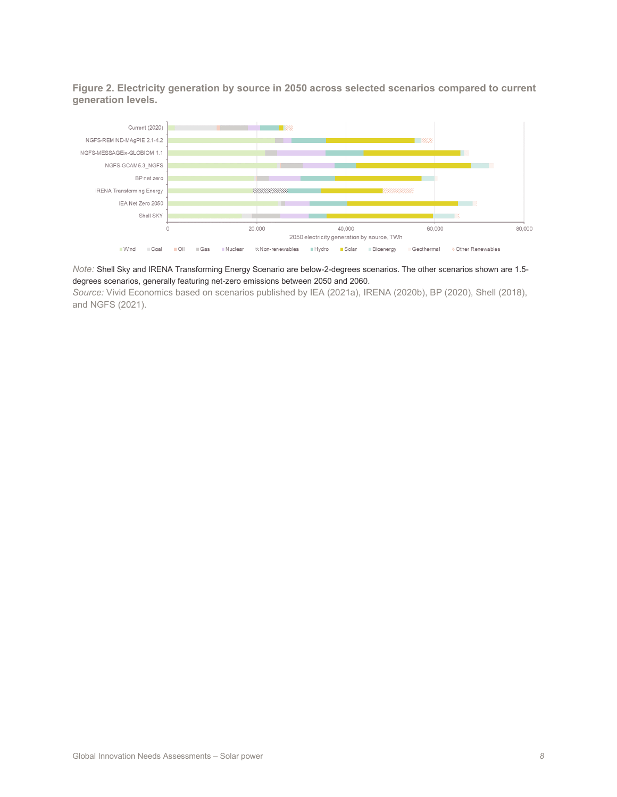<span id="page-7-0"></span>**Figure 2. Electricity generation by source in 2050 across selected scenarios compared to current generation levels.**



*Note:* Shell Sky and IRENA Transforming Energy Scenario are below-2-degrees scenarios. The other scenarios shown are 1.5 degrees scenarios, generally featuring net-zero emissions between 2050 and 2060.

*Source:* Vivid Economics based on scenarios published by IEA (2021a), IRENA (2020b), BP (2020), Shell (2018), and NGFS (2021).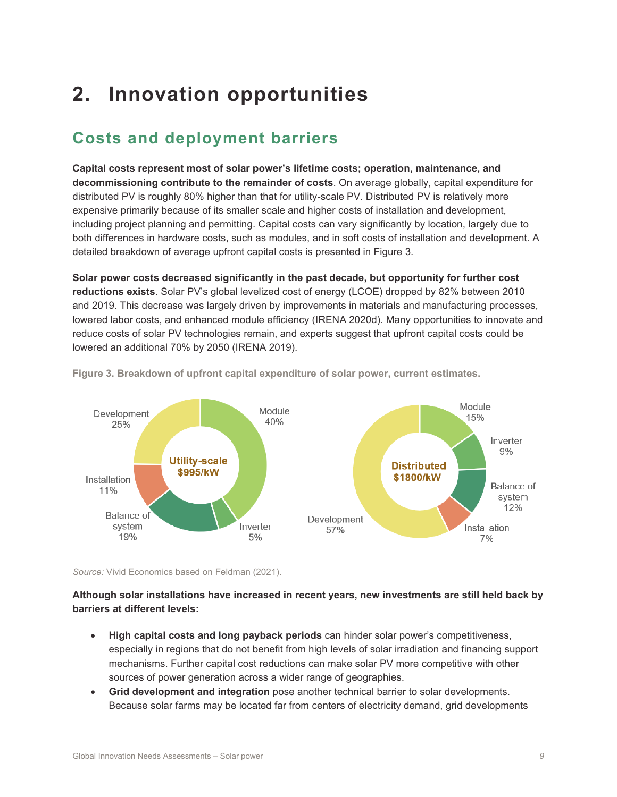## **2. Innovation opportunities**

## **Costs and deployment barriers**

**Capital costs represent most of solar power's lifetime costs; operation, maintenance, and decommissioning contribute to the remainder of costs**. On average globally, capital expenditure for distributed PV is roughly 80% higher than that for utility-scale PV. Distributed PV is relatively more expensive primarily because of its smaller scale and higher costs of installation and development, including project planning and permitting. Capital costs can vary significantly by location, largely due to both differences in hardware costs, such as modules, and in soft costs of installation and development. A detailed breakdown of average upfront capital costs is presented in Figure 3.

**Solar power costs decreased significantly in the past decade, but opportunity for further cost reductions exists**. Solar PV's global levelized cost of energy (LCOE) dropped by 82% between 2010 and 2019. This decrease was largely driven by improvements in materials and manufacturing processes, lowered labor costs, and enhanced module efficiency (IRENA 2020d). Many opportunities to innovate and reduce costs of solar PV technologies remain, and experts suggest that upfront capital costs could be lowered an additional 70% by 2050 (IRENA 2019).



**Figure 3. Breakdown of upfront capital expenditure of solar power, current estimates.**

*Source:* Vivid Economics based on Feldman (2021).

#### **Although solar installations have increased in recent years, new investments are still held back by barriers at different levels:**

- **High capital costs and long payback periods** can hinder solar power's competitiveness, especially in regions that do not benefit from high levels of solar irradiation and financing support mechanisms. Further capital cost reductions can make solar PV more competitive with other sources of power generation across a wider range of geographies.
- **Grid development and integration** pose another technical barrier to solar developments. Because solar farms may be located far from centers of electricity demand, grid developments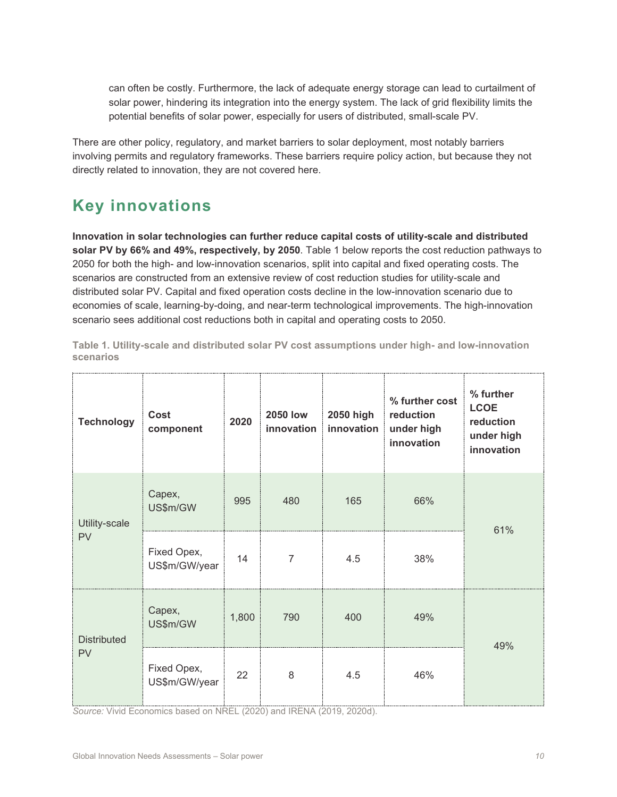can often be costly. Furthermore, the lack of adequate energy storage can lead to curtailment of solar power, hindering its integration into the energy system. The lack of grid flexibility limits the potential benefits of solar power, especially for users of distributed, small-scale PV.

There are other policy, regulatory, and market barriers to solar deployment, most notably barriers involving permits and regulatory frameworks. These barriers require policy action, but because they not directly related to innovation, they are not covered here.

## **Key innovations**

**Innovation in solar technologies can further reduce capital costs of utility-scale and distributed solar PV by 66% and 49%, respectively, by 2050**. Table 1 below reports the cost reduction pathways to 2050 for both the high- and low-innovation scenarios, split into capital and fixed operating costs. The scenarios are constructed from an extensive review of cost reduction studies for utility-scale and distributed solar PV. Capital and fixed operation costs decline in the low-innovation scenario due to economies of scale, learning-by-doing, and near-term technological improvements. The high-innovation scenario sees additional cost reductions both in capital and operating costs to 2050.

| <b>Technology</b>               | Cost<br>component            | 2020  | <b>2050 low</b><br>innovation | 2050 high<br>innovation | % further cost<br>reduction<br>under high<br>innovation | % further<br><b>LCOE</b><br>reduction<br>under high<br>innovation |  |
|---------------------------------|------------------------------|-------|-------------------------------|-------------------------|---------------------------------------------------------|-------------------------------------------------------------------|--|
| Utility-scale<br><b>PV</b>      | Capex,<br>US\$m/GW           | 995   | 480                           | 165                     | 66%                                                     | 61%                                                               |  |
|                                 | Fixed Opex,<br>US\$m/GW/year | 14    | 7                             | 4.5                     | 38%                                                     |                                                                   |  |
| <b>Distributed</b><br><b>PV</b> | Capex,<br>US\$m/GW           | 1,800 | 790                           | 400                     | 49%                                                     | 49%                                                               |  |
|                                 | Fixed Opex,<br>US\$m/GW/year | 22    | 8                             | 4.5                     | 46%                                                     |                                                                   |  |

**Table 1. Utility-scale and distributed solar PV cost assumptions under high- and low-innovation scenarios**

*Source:* Vivid Economics based on NREL (2020) and IRENA (2019, 2020d).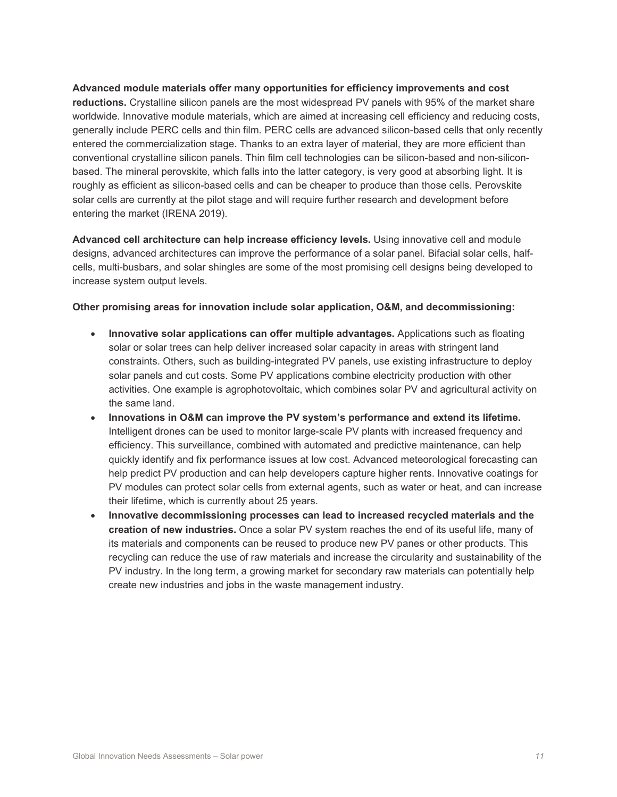**Advanced module materials offer many opportunities for efficiency improvements and cost reductions.** Crystalline silicon panels are the most widespread PV panels with 95% of the market share worldwide. Innovative module materials, which are aimed at increasing cell efficiency and reducing costs, generally include PERC cells and thin film. PERC cells are advanced silicon-based cells that only recently entered the commercialization stage. Thanks to an extra layer of material, they are more efficient than conventional crystalline silicon panels. Thin film cell technologies can be silicon-based and non-siliconbased. The mineral perovskite, which falls into the latter category, is very good at absorbing light. It is roughly as efficient as silicon-based cells and can be cheaper to produce than those cells. Perovskite solar cells are currently at the pilot stage and will require further research and development before entering the market (IRENA 2019).

**Advanced cell architecture can help increase efficiency levels.** Using innovative cell and module designs, advanced architectures can improve the performance of a solar panel. Bifacial solar cells, halfcells, multi-busbars, and solar shingles are some of the most promising cell designs being developed to increase system output levels.

#### **Other promising areas for innovation include solar application, O&M, and decommissioning:**

- **Innovative solar applications can offer multiple advantages.** Applications such as floating solar or solar trees can help deliver increased solar capacity in areas with stringent land constraints. Others, such as building-integrated PV panels, use existing infrastructure to deploy solar panels and cut costs. Some PV applications combine electricity production with other activities. One example is agrophotovoltaic, which combines solar PV and agricultural activity on the same land.
- **Innovations in O&M can improve the PV system's performance and extend its lifetime.**  Intelligent drones can be used to monitor large-scale PV plants with increased frequency and efficiency. This surveillance, combined with automated and predictive maintenance, can help quickly identify and fix performance issues at low cost. Advanced meteorological forecasting can help predict PV production and can help developers capture higher rents. Innovative coatings for PV modules can protect solar cells from external agents, such as water or heat, and can increase their lifetime, which is currently about 25 years.
- **Innovative decommissioning processes can lead to increased recycled materials and the creation of new industries.** Once a solar PV system reaches the end of its useful life, many of its materials and components can be reused to produce new PV panes or other products. This recycling can reduce the use of raw materials and increase the circularity and sustainability of the PV industry. In the long term, a growing market for secondary raw materials can potentially help create new industries and jobs in the waste management industry.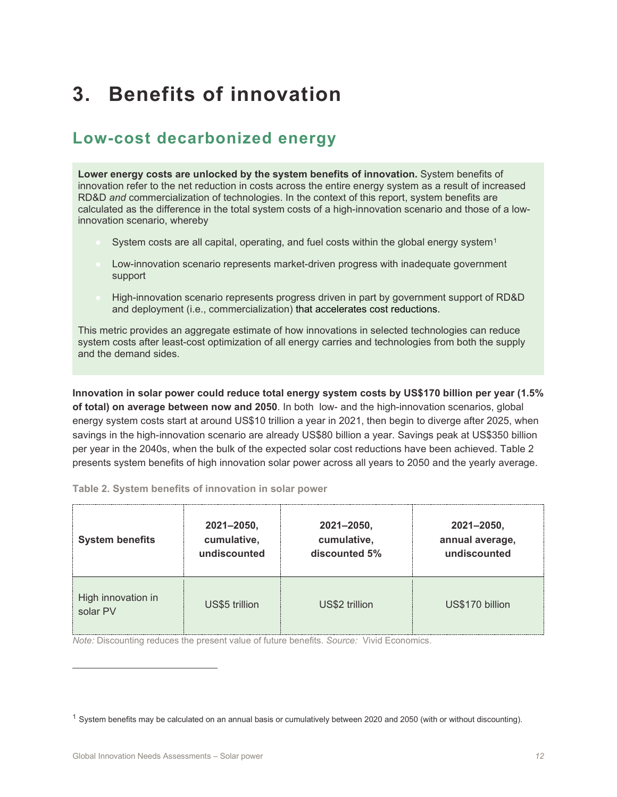## **3. Benefits of innovation**

### **Low-cost decarbonized energy**

**Lower energy costs are unlocked by the system benefits of innovation.** System benefits of innovation refer to the net reduction in costs across the entire energy system as a result of increased RD&D *and* commercialization of technologies. In the context of this report, system benefits are calculated as the difference in the total system costs of a high-innovation scenario and those of a lowinnovation scenario, whereby

- System costs are all capital, operating, and fuel costs within the global energy system<sup>[1](#page-11-0)</sup>
- Low-innovation scenario represents market-driven progress with inadequate government support
- High-innovation scenario represents progress driven in part by government support of RD&D and deployment (i.e., commercialization) that accelerates cost reductions.

This metric provides an aggregate estimate of how innovations in selected technologies can reduce system costs after least-cost optimization of all energy carries and technologies from both the supply and the demand sides.

**Innovation in solar power could reduce total energy system costs by US\$170 billion per year (1.5% of total) on average between now and 2050**. In both low- and the high-innovation scenarios, global energy system costs start at around US\$10 trillion a year in 2021, then begin to diverge after 2025, when savings in the high-innovation scenario are already US\$80 billion a year. Savings peak at US\$350 billion per year in the 2040s, when the bulk of the expected solar cost reductions have been achieved. Table 2 presents system benefits of high innovation solar power across all years to 2050 and the yearly average.

**Table 2. System benefits of innovation in solar power** 

| <b>System benefits</b>         | $2021 - 2050,$ | 2021-2050,     | 2021-2050,      |
|--------------------------------|----------------|----------------|-----------------|
|                                | cumulative,    | cumulative,    | annual average, |
|                                | undiscounted   | discounted 5%  | undiscounted    |
| High innovation in<br>solar PV | US\$5 trillion | US\$2 trillion | US\$170 billion |

*Note:* Discounting reduces the present value of future benefits. *Source:* Vivid Economics.

<span id="page-11-0"></span> $1$  System benefits may be calculated on an annual basis or cumulatively between 2020 and 2050 (with or without discounting).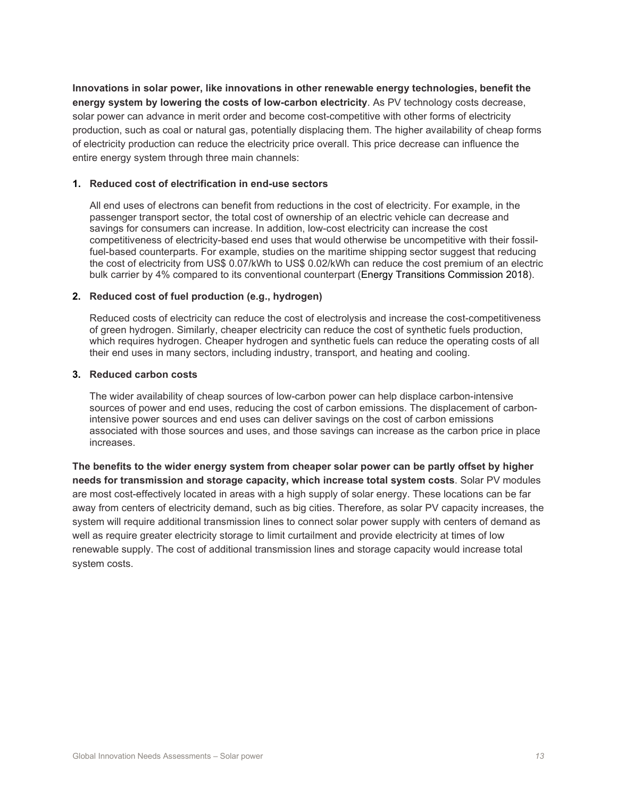**Innovations in solar power, like innovations in other renewable energy technologies, benefit the energy system by lowering the costs of low-carbon electricity**. As PV technology costs decrease, solar power can advance in merit order and become cost-competitive with other forms of electricity production, such as coal or natural gas, potentially displacing them. The higher availability of cheap forms of electricity production can reduce the electricity price overall. This price decrease can influence the entire energy system through three main channels:

#### **1. Reduced cost of electrification in end-use sectors**

All end uses of electrons can benefit from reductions in the cost of electricity. For example, in the passenger transport sector, the total cost of ownership of an electric vehicle can decrease and savings for consumers can increase. In addition, low-cost electricity can increase the cost competitiveness of electricity-based end uses that would otherwise be uncompetitive with their fossilfuel-based counterparts. For example, studies on the maritime shipping sector suggest that reducing the cost of electricity from US\$ 0.07/kWh to US\$ 0.02/kWh can reduce the cost premium of an electric bulk carrier by 4% compared to its conventional counterpart (Energy Transitions Commission 2018).

#### **2. Reduced cost of fuel production (e.g., hydrogen)**

Reduced costs of electricity can reduce the cost of electrolysis and increase the cost-competitiveness of green hydrogen. Similarly, cheaper electricity can reduce the cost of synthetic fuels production, which requires hydrogen. Cheaper hydrogen and synthetic fuels can reduce the operating costs of all their end uses in many sectors, including industry, transport, and heating and cooling.

#### **3. Reduced carbon costs**

The wider availability of cheap sources of low-carbon power can help displace carbon-intensive sources of power and end uses, reducing the cost of carbon emissions. The displacement of carbonintensive power sources and end uses can deliver savings on the cost of carbon emissions associated with those sources and uses, and those savings can increase as the carbon price in place increases.

**The benefits to the wider energy system from cheaper solar power can be partly offset by higher needs for transmission and storage capacity, which increase total system costs**. Solar PV modules are most cost-effectively located in areas with a high supply of solar energy. These locations can be far away from centers of electricity demand, such as big cities. Therefore, as solar PV capacity increases, the system will require additional transmission lines to connect solar power supply with centers of demand as well as require greater electricity storage to limit curtailment and provide electricity at times of low renewable supply. The cost of additional transmission lines and storage capacity would increase total system costs.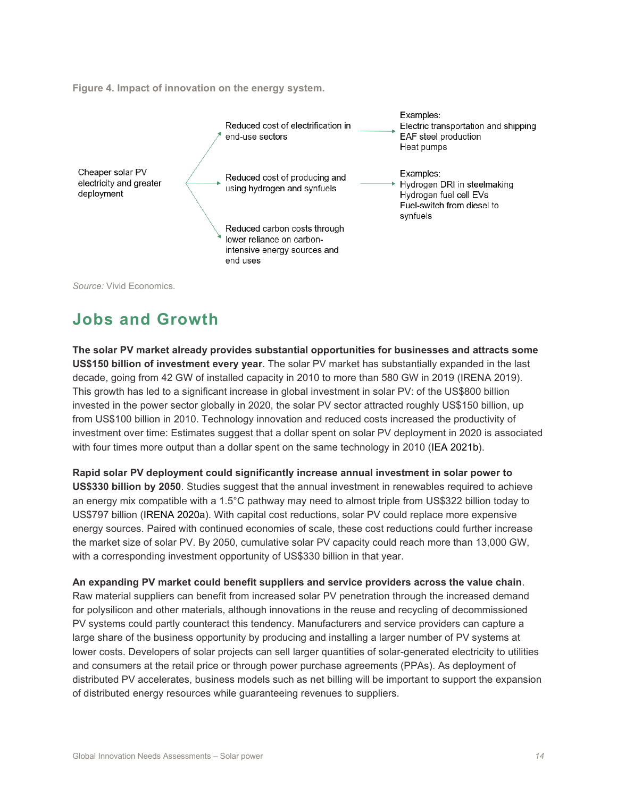**Figure 4. Impact of innovation on the energy system.**



*Source:* Vivid Economics.

### **Jobs and Growth**

**The solar PV market already provides substantial opportunities for businesses and attracts some US\$150 billion of investment every year**. The solar PV market has substantially expanded in the last decade, going from 42 GW of installed capacity in 2010 to more than 580 GW in 2019 (IRENA 2019). This growth has led to a significant increase in global investment in solar PV: of the US\$800 billion invested in the power sector globally in 2020, the solar PV sector attracted roughly US\$150 billion, up from US\$100 billion in 2010. Technology innovation and reduced costs increased the productivity of investment over time: Estimates suggest that a dollar spent on solar PV deployment in 2020 is associated with four times more output than a dollar spent on the same technology in 2010 (IEA 2021b).

**Rapid solar PV deployment could significantly increase annual investment in solar power to US\$330 billion by 2050**. Studies suggest that the annual investment in renewables required to achieve an energy mix compatible with a 1.5°C pathway may need to almost triple from US\$322 billion today to US\$797 billion (IRENA 2020a). With capital cost reductions, solar PV could replace more expensive energy sources. Paired with continued economies of scale, these cost reductions could further increase the market size of solar PV. By 2050, cumulative solar PV capacity could reach more than 13,000 GW, with a corresponding investment opportunity of US\$330 billion in that year.

**An expanding PV market could benefit suppliers and service providers across the value chain**. Raw material suppliers can benefit from increased solar PV penetration through the increased demand for polysilicon and other materials, although innovations in the reuse and recycling of decommissioned PV systems could partly counteract this tendency. Manufacturers and service providers can capture a large share of the business opportunity by producing and installing a larger number of PV systems at lower costs. Developers of solar projects can sell larger quantities of solar-generated electricity to utilities and consumers at the retail price or through power purchase agreements (PPAs). As deployment of distributed PV accelerates, business models such as net billing will be important to support the expansion of distributed energy resources while guaranteeing revenues to suppliers.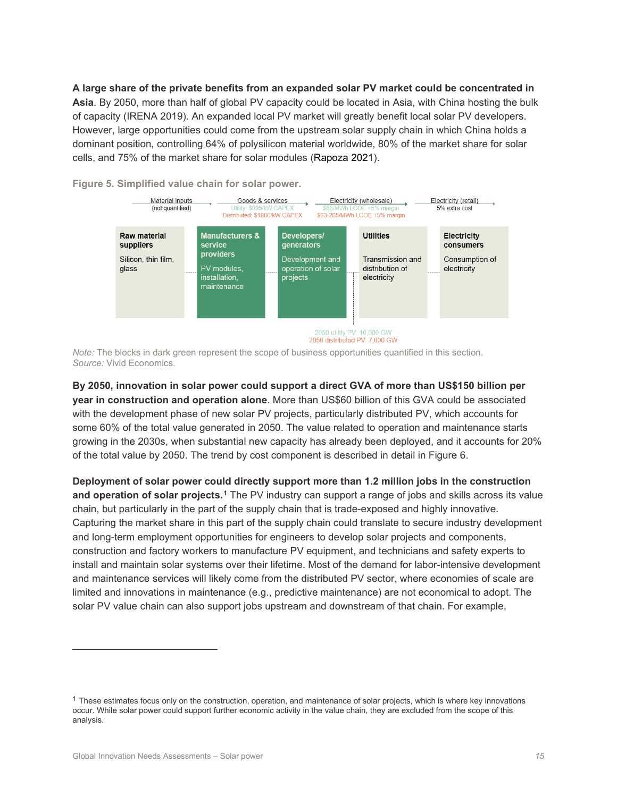**A large share of the private benefits from an expanded solar PV market could be concentrated in Asia**. By 2050, more than half of global PV capacity could be located in Asia, with China hosting the bulk of capacity (IRENA 2019). An expanded local PV market will greatly benefit local solar PV developers. However, large opportunities could come from the upstream solar supply chain in which China holds a dominant position, controlling 64% of polysilicon material worldwide, 80% of the market share for solar cells, and 75% of the market share for solar modules (Rapoza 2021).



**Figure 5. Simplified value chain for solar power.**

*Note:* The blocks in dark green represent the scope of business opportunities quantified in this section. *Source:* Vivid Economics.

**By 2050, innovation in solar power could support a direct GVA of more than US\$150 billion per year in construction and operation alone**. More than US\$60 billion of this GVA could be associated with the development phase of new solar PV projects, particularly distributed PV, which accounts for some 60% of the total value generated in 2050. The value related to operation and maintenance starts growing in the 2030s, when substantial new capacity has already been deployed, and it accounts for 20% of the total value by 2050. The trend by cost component is described in detail in Figure 6.

**Deployment of solar power could directly support more than 1.2 million jobs in the construction**  and operation of solar projects.<sup>[1](#page-14-0)</sup> The PV industry can support a range of jobs and skills across its value chain, but particularly in the part of the supply chain that is trade-exposed and highly innovative. Capturing the market share in this part of the supply chain could translate to secure industry development and long-term employment opportunities for engineers to develop solar projects and components, construction and factory workers to manufacture PV equipment, and technicians and safety experts to install and maintain solar systems over their lifetime. Most of the demand for labor-intensive development and maintenance services will likely come from the distributed PV sector, where economies of scale are limited and innovations in maintenance (e.g., predictive maintenance) are not economical to adopt. The solar PV value chain can also support jobs upstream and downstream of that chain. For example,

<span id="page-14-0"></span> $1$  These estimates focus only on the construction, operation, and maintenance of solar projects, which is where key innovations occur. While solar power could support further economic activity in the value chain, they are excluded from the scope of this analysis.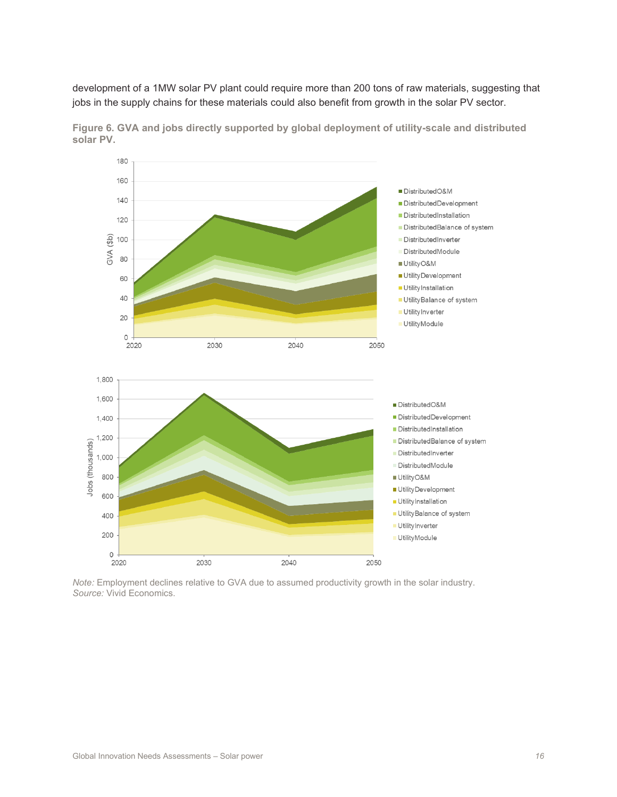development of a 1MW solar PV plant could require more than 200 tons of raw materials, suggesting that jobs in the supply chains for these materials could also benefit from growth in the solar PV sector.



**Figure 6. GVA and jobs directly supported by global deployment of utility-scale and distributed solar PV.**

*Note:* Employment declines relative to GVA due to assumed productivity growth in the solar industry. *Source:* Vivid Economics.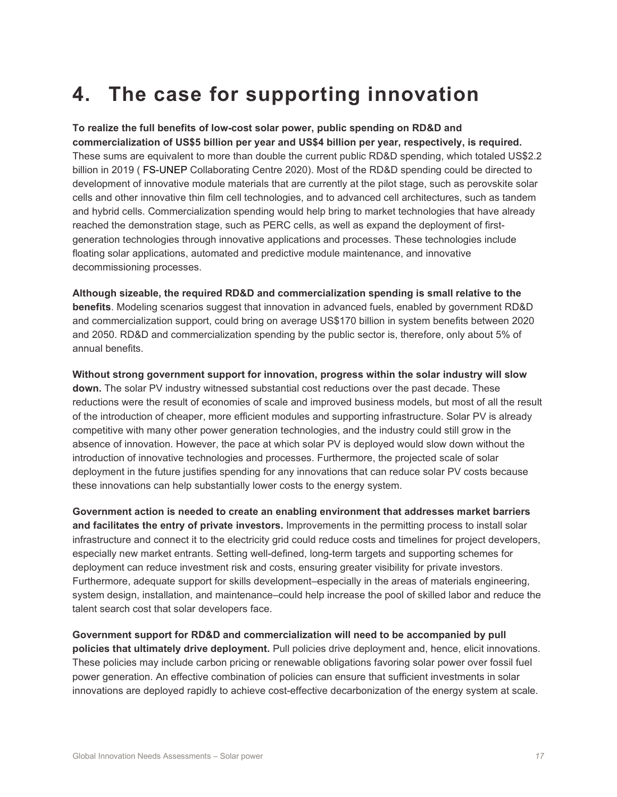## **4. The case for supporting innovation**

#### **To realize the full benefits of low-cost solar power, public spending on RD&D and**

**commercialization of US\$5 billion per year and US\$4 billion per year, respectively, is required.**  These sums are equivalent to more than double the current public RD&D spending, which totaled US\$2.2 billion in 2019 ( FS-UNEP Collaborating Centre 2020). Most of the RD&D spending could be directed to development of innovative module materials that are currently at the pilot stage, such as perovskite solar cells and other innovative thin film cell technologies, and to advanced cell architectures, such as tandem and hybrid cells. Commercialization spending would help bring to market technologies that have already reached the demonstration stage, such as PERC cells, as well as expand the deployment of firstgeneration technologies through innovative applications and processes. These technologies include floating solar applications, automated and predictive module maintenance, and innovative decommissioning processes.

**Although sizeable, the required RD&D and commercialization spending is small relative to the benefits**. Modeling scenarios suggest that innovation in advanced fuels, enabled by government RD&D and commercialization support, could bring on average US\$170 billion in system benefits between 2020 and 2050. RD&D and commercialization spending by the public sector is, therefore, only about 5% of annual benefits.

**Without strong government support for innovation, progress within the solar industry will slow down.** The solar PV industry witnessed substantial cost reductions over the past decade. These reductions were the result of economies of scale and improved business models, but most of all the result of the introduction of cheaper, more efficient modules and supporting infrastructure. Solar PV is already competitive with many other power generation technologies, and the industry could still grow in the absence of innovation. However, the pace at which solar PV is deployed would slow down without the introduction of innovative technologies and processes. Furthermore, the projected scale of solar deployment in the future justifies spending for any innovations that can reduce solar PV costs because these innovations can help substantially lower costs to the energy system.

**Government action is needed to create an enabling environment that addresses market barriers and facilitates the entry of private investors.** Improvements in the permitting process to install solar infrastructure and connect it to the electricity grid could reduce costs and timelines for project developers, especially new market entrants. Setting well-defined, long-term targets and supporting schemes for deployment can reduce investment risk and costs, ensuring greater visibility for private investors. Furthermore, adequate support for skills development–especially in the areas of materials engineering, system design, installation, and maintenance–could help increase the pool of skilled labor and reduce the talent search cost that solar developers face.

**Government support for RD&D and commercialization will need to be accompanied by pull policies that ultimately drive deployment.** Pull policies drive deployment and, hence, elicit innovations. These policies may include carbon pricing or renewable obligations favoring solar power over fossil fuel power generation. An effective combination of policies can ensure that sufficient investments in solar innovations are deployed rapidly to achieve cost-effective decarbonization of the energy system at scale.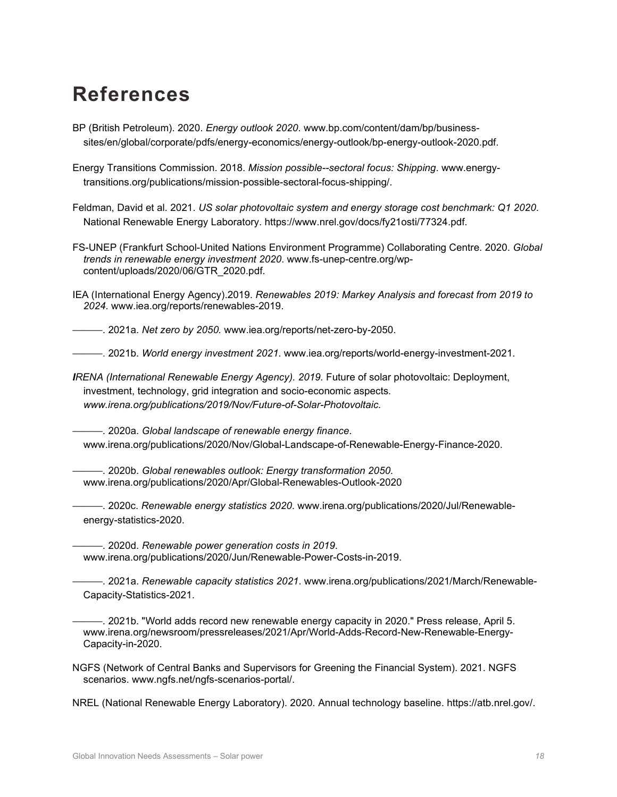## **References**

- BP (British Petroleum). 2020. *Energy outlook 2020*. www.bp.com/content/dam/bp/businesssites/en/global/corporate/pdfs/energy-economics/energy-outlook/bp-energy-outlook-2020.pdf.
- Energy Transitions Commission. 2018. *Mission possible--sectoral focus: Shipping*. www.energytransitions.org/publications/mission-possible-sectoral-focus-shipping/.

Feldman, David et al. 2021. *US solar photovoltaic system and energy storage cost benchmark: Q1 2020*. National Renewable Energy Laboratory. https://www.nrel.gov/docs/fy21osti/77324.pdf.

- FS-UNEP (Frankfurt School-United Nations Environment Programme) Collaborating Centre. 2020. *Global trends in renewable energy investment 2020*. www.fs-unep-centre.org/wpcontent/uploads/2020/06/GTR\_2020.pdf.
- IEA (International Energy Agency).2019. *Renewables 2019: Markey Analysis and forecast from 2019 to 2024.* www.iea.org/reports/renewables-2019.

———. 2021a. *Net zero by 2050.* www.iea.org/reports/net-zero-by-2050.

———. 2021b. *World energy investment 2021*. www.iea.org/reports/world-energy-investment-2021.

*IRENA (International Renewable Energy Agency). 2019.* Future of solar photovoltaic: Deployment, investment, technology, grid integration and socio-economic aspects*. www.irena.org/publications/2019/Nov/Future-of-Solar-Photovoltaic.*

———. 2020a. *Global landscape of renewable energy finance*. www.irena.org/publications/2020/Nov/Global-Landscape-of-Renewable-Energy-Finance-2020.

———. 2020b. *Global renewables outlook: Energy transformation 2050*. www.irena.org/publications/2020/Apr/Global-Renewables-Outlook-2020

———. 2020c. *Renewable energy statistics 2020*. www.irena.org/publications/2020/Jul/Renewableenergy-statistics-2020.

———. 2020d. *Renewable power generation costs in 2019*. www.irena.org/publications/2020/Jun/Renewable-Power-Costs-in-2019.

———. 2021a. *Renewable capacity statistics 2021*. www.irena.org/publications/2021/March/Renewable-Capacity-Statistics-2021.

———. 2021b. "World adds record new renewable energy capacity in 2020." Press release, April 5. www.irena.org/newsroom/pressreleases/2021/Apr/World-Adds-Record-New-Renewable-Energy-Capacity-in-2020.

NGFS (Network of Central Banks and Supervisors for Greening the Financial System). 2021. NGFS scenarios. www.ngfs.net/ngfs-scenarios-portal/.

NREL (National Renewable Energy Laboratory). 2020. Annual technology baseline. https://atb.nrel.gov/.